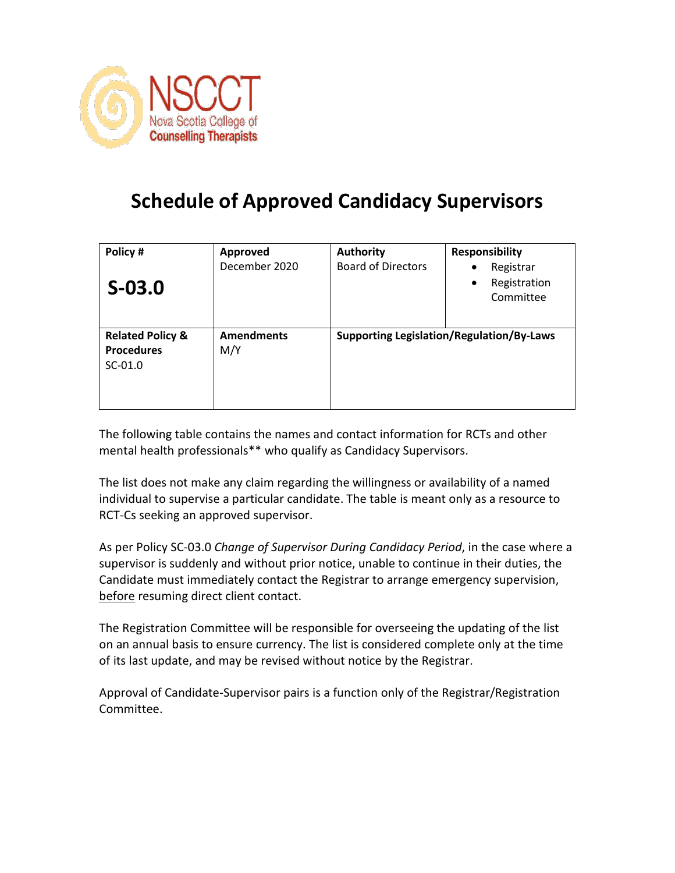

## **Schedule of Approved Candidacy Supervisors**

| Policy #<br>$S-03.0$                                          | <b>Approved</b><br>December 2020 | <b>Authority</b><br><b>Board of Directors</b> | <b>Responsibility</b><br>Registrar<br>٠<br>Registration<br>$\bullet$<br>Committee |
|---------------------------------------------------------------|----------------------------------|-----------------------------------------------|-----------------------------------------------------------------------------------|
| <b>Related Policy &amp;</b><br><b>Procedures</b><br>$SC-01.0$ | <b>Amendments</b><br>M/Y         |                                               | <b>Supporting Legislation/Regulation/By-Laws</b>                                  |

The following table contains the names and contact information for RCTs and other mental health professionals\*\* who qualify as Candidacy Supervisors.

The list does not make any claim regarding the willingness or availability of a named individual to supervise a particular candidate. The table is meant only as a resource to RCT-Cs seeking an approved supervisor.

As per Policy SC-03.0 *Change of Supervisor During Candidacy Period*, in the case where a supervisor is suddenly and without prior notice, unable to continue in their duties, the Candidate must immediately contact the Registrar to arrange emergency supervision, before resuming direct client contact.

The Registration Committee will be responsible for overseeing the updating of the list on an annual basis to ensure currency. The list is considered complete only at the time of its last update, and may be revised without notice by the Registrar.

Approval of Candidate-Supervisor pairs is a function only of the Registrar/Registration Committee.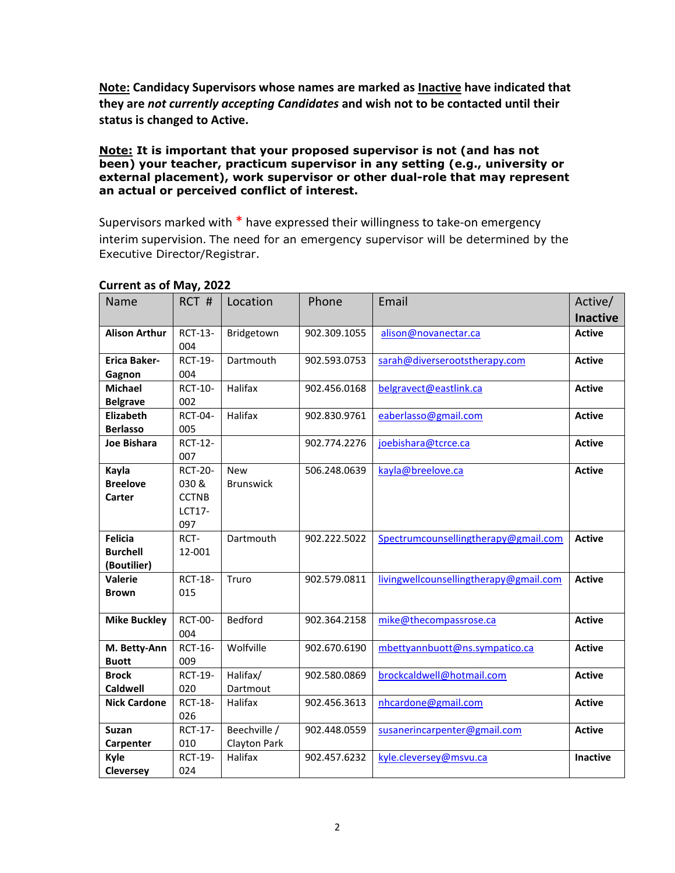**Note: Candidacy Supervisors whose names are marked as Inactive have indicated that they are** *not currently accepting Candidates* **and wish not to be contacted until their status is changed to Active.** 

## **Note: It is important that your proposed supervisor is not (and has not been) your teacher, practicum supervisor in any setting (e.g., university or external placement), work supervisor or other dual-role that may represent an actual or perceived conflict of interest.**

Supervisors marked with \* have expressed their willingness to take-on emergency interim supervision. The need for an emergency supervisor will be determined by the Executive Director/Registrar.

| Name                 | RCT #          | Location            | Phone        | Email                                  | Active/         |
|----------------------|----------------|---------------------|--------------|----------------------------------------|-----------------|
|                      |                |                     |              |                                        | <b>Inactive</b> |
| <b>Alison Arthur</b> | <b>RCT-13-</b> | Bridgetown          | 902.309.1055 | alison@novanectar.ca                   | <b>Active</b>   |
|                      | 004            |                     |              |                                        |                 |
| <b>Erica Baker-</b>  | <b>RCT-19-</b> | Dartmouth           | 902.593.0753 | sarah@diverserootstherapy.com          | <b>Active</b>   |
| Gagnon               | 004            |                     |              |                                        |                 |
| <b>Michael</b>       | <b>RCT-10-</b> | Halifax             | 902.456.0168 | belgravect@eastlink.ca                 | <b>Active</b>   |
| <b>Belgrave</b>      | 002            |                     |              |                                        |                 |
| <b>Elizabeth</b>     | <b>RCT-04-</b> | Halifax             | 902.830.9761 | eaberlasso@gmail.com                   | <b>Active</b>   |
| <b>Berlasso</b>      | 005            |                     |              |                                        |                 |
| <b>Joe Bishara</b>   | <b>RCT-12-</b> |                     | 902.774.2276 | joebishara@tcrce.ca                    | <b>Active</b>   |
|                      | 007            |                     |              |                                        |                 |
| Kayla                | <b>RCT-20-</b> | <b>New</b>          | 506.248.0639 | kayla@breelove.ca                      | <b>Active</b>   |
| <b>Breelove</b>      | 030 &          | <b>Brunswick</b>    |              |                                        |                 |
| Carter               | <b>CCTNB</b>   |                     |              |                                        |                 |
|                      | <b>LCT17-</b>  |                     |              |                                        |                 |
|                      | 097            |                     |              |                                        |                 |
| <b>Felicia</b>       | RCT-           | Dartmouth           | 902.222.5022 | Spectrumcounsellingtherapy@gmail.com   | <b>Active</b>   |
| <b>Burchell</b>      | 12-001         |                     |              |                                        |                 |
| (Boutilier)          |                |                     |              |                                        |                 |
| Valerie              | <b>RCT-18-</b> | Truro               | 902.579.0811 | livingwellcounsellingtherapy@gmail.com | <b>Active</b>   |
| <b>Brown</b>         | 015            |                     |              |                                        |                 |
|                      |                |                     |              |                                        |                 |
| <b>Mike Buckley</b>  | <b>RCT-00-</b> | Bedford             | 902.364.2158 | mike@thecompassrose.ca                 | <b>Active</b>   |
|                      | 004            |                     |              |                                        |                 |
| M. Betty-Ann         | <b>RCT-16-</b> | Wolfville           | 902.670.6190 | mbettyannbuott@ns.sympatico.ca         | <b>Active</b>   |
| <b>Buott</b>         | 009            |                     |              |                                        |                 |
| <b>Brock</b>         | <b>RCT-19-</b> | Halifax/            | 902.580.0869 | brockcaldwell@hotmail.com              | <b>Active</b>   |
| <b>Caldwell</b>      | 020            | Dartmout            |              |                                        |                 |
| <b>Nick Cardone</b>  | <b>RCT-18-</b> | Halifax             | 902.456.3613 | nhcardone@gmail.com                    | <b>Active</b>   |
|                      | 026            |                     |              |                                        |                 |
| <b>Suzan</b>         | <b>RCT-17-</b> | Beechville /        | 902.448.0559 | susanerincarpenter@gmail.com           | <b>Active</b>   |
| Carpenter            | 010            | <b>Clayton Park</b> |              |                                        |                 |
| Kyle                 | <b>RCT-19-</b> | Halifax             | 902.457.6232 | kyle.cleversey@msvu.ca                 | <b>Inactive</b> |
| Cleversey            | 024            |                     |              |                                        |                 |

## **Current as of May, 2022**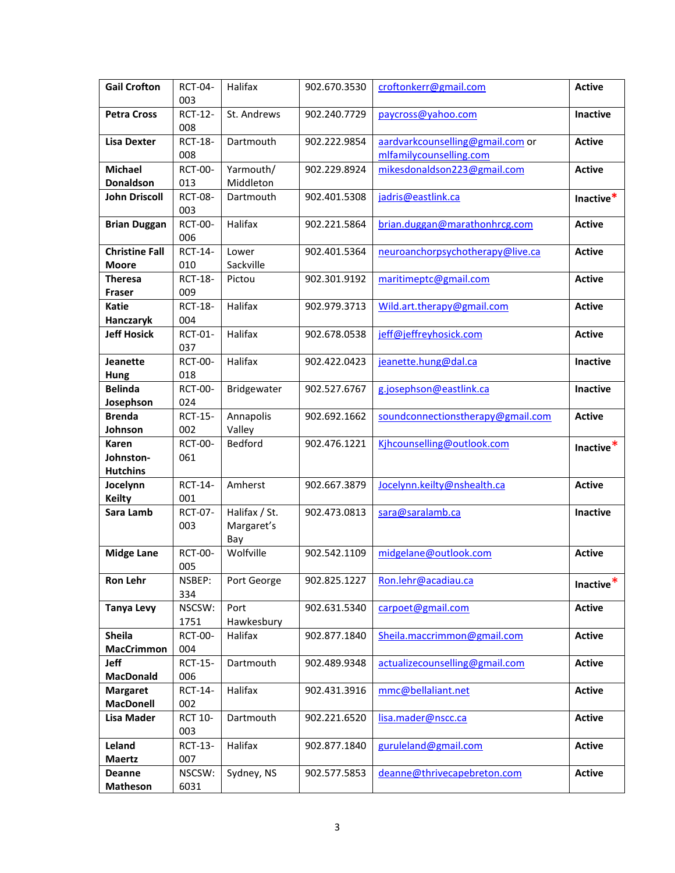| <b>Gail Crofton</b>                 | RCT-04-               | Halifax        | 902.670.3530 | croftonkerr@gmail.com                                       | <b>Active</b> |
|-------------------------------------|-----------------------|----------------|--------------|-------------------------------------------------------------|---------------|
|                                     | 003                   |                |              |                                                             |               |
| <b>Petra Cross</b>                  | <b>RCT-12-</b><br>008 | St. Andrews    | 902.240.7729 | paycross@yahoo.com                                          | Inactive      |
| <b>Lisa Dexter</b>                  | <b>RCT-18-</b><br>008 | Dartmouth      | 902.222.9854 | aardvarkcounselling@gmail.com or<br>mlfamilycounselling.com | <b>Active</b> |
| <b>Michael</b>                      | <b>RCT-00-</b>        | Yarmouth/      | 902.229.8924 | mikesdonaldson223@gmail.com                                 | <b>Active</b> |
| Donaldson                           | 013                   | Middleton      |              |                                                             |               |
| <b>John Driscoll</b>                | <b>RCT-08-</b>        | Dartmouth      | 902.401.5308 | jadris@eastlink.ca                                          | Inactive*     |
|                                     | 003                   |                |              |                                                             |               |
| <b>Brian Duggan</b>                 | <b>RCT-00-</b><br>006 | Halifax        | 902.221.5864 | brian.duggan@marathonhrcg.com                               | <b>Active</b> |
| <b>Christine Fall</b>               | <b>RCT-14-</b>        | Lower          | 902.401.5364 | neuroanchorpsychotherapy@live.ca                            | <b>Active</b> |
| <b>Moore</b>                        | 010                   | Sackville      |              |                                                             |               |
| <b>Theresa</b>                      | <b>RCT-18-</b>        | Pictou         | 902.301.9192 | maritimeptc@gmail.com                                       | <b>Active</b> |
| Fraser                              | 009                   |                |              |                                                             |               |
| <b>Katie</b>                        | <b>RCT-18-</b>        | Halifax        | 902.979.3713 | Wild.art.therapy@gmail.com                                  | <b>Active</b> |
| Hanczaryk                           | 004                   |                |              |                                                             |               |
| <b>Jeff Hosick</b>                  | RCT-01-<br>037        | Halifax        | 902.678.0538 | jeff@jeffreyhosick.com                                      | <b>Active</b> |
| <b>Jeanette</b>                     | <b>RCT-00-</b>        | Halifax        | 902.422.0423 | jeanette.hung@dal.ca                                        | Inactive      |
| Hung                                | 018                   |                |              |                                                             |               |
| <b>Belinda</b>                      | <b>RCT-00-</b>        | Bridgewater    | 902.527.6767 | g.josephson@eastlink.ca                                     | Inactive      |
| Josephson                           | 024                   |                |              |                                                             |               |
| <b>Brenda</b>                       | <b>RCT-15-</b>        | Annapolis      | 902.692.1662 | soundconnectionstherapy@gmail.com                           | <b>Active</b> |
| Johnson                             | 002                   | Valley         |              |                                                             |               |
|                                     |                       |                |              |                                                             |               |
| Karen                               | <b>RCT-00-</b>        | <b>Bedford</b> | 902.476.1221 | Kihcounselling@outlook.com                                  |               |
| Johnston-                           | 061                   |                |              |                                                             | Inactive*     |
| <b>Hutchins</b>                     |                       |                |              |                                                             |               |
| Jocelynn<br><b>Keilty</b>           | <b>RCT-14-</b><br>001 | Amherst        | 902.667.3879 | Jocelynn.keilty@nshealth.ca                                 | <b>Active</b> |
| Sara Lamb                           | <b>RCT-07-</b>        | Halifax / St.  | 902.473.0813 | sara@saralamb.ca                                            | Inactive      |
|                                     | 003                   | Margaret's     |              |                                                             |               |
|                                     |                       | Bay            |              |                                                             |               |
| <b>Midge Lane</b>                   | <b>RCT-00-</b>        | Wolfville      | 902.542.1109 | midgelane@outlook.com                                       | <b>Active</b> |
|                                     | 005                   |                |              |                                                             |               |
| Ron Lehr                            | NSBEP:                | Port George    | 902.825.1227 | Ron.lehr@acadiau.ca                                         | Inactive*     |
|                                     | 334                   |                |              |                                                             |               |
| <b>Tanya Levy</b>                   | NSCSW:                | Port           | 902.631.5340 | carpoet@gmail.com                                           | <b>Active</b> |
|                                     | 1751                  | Hawkesbury     |              |                                                             |               |
| Sheila                              | <b>RCT-00-</b>        | Halifax        | 902.877.1840 | Sheila.maccrimmon@gmail.com                                 | <b>Active</b> |
| <b>MacCrimmon</b>                   | 004                   |                |              |                                                             |               |
| Jeff                                | <b>RCT-15-</b>        | Dartmouth      | 902.489.9348 | actualizecounselling@gmail.com                              | <b>Active</b> |
| <b>MacDonald</b>                    | 006                   |                |              |                                                             |               |
| <b>Margaret</b><br><b>MacDonell</b> | <b>RCT-14-</b><br>002 | Halifax        | 902.431.3916 | mmc@bellaliant.net                                          | <b>Active</b> |
| <b>Lisa Mader</b>                   | <b>RCT 10-</b>        | Dartmouth      | 902.221.6520 |                                                             | <b>Active</b> |
|                                     | 003                   |                |              | lisa.mader@nscc.ca                                          |               |
| Leland                              | <b>RCT-13-</b>        | Halifax        | 902.877.1840 | guruleland@gmail.com                                        | <b>Active</b> |
| <b>Maertz</b>                       | 007                   |                |              |                                                             |               |
| <b>Deanne</b>                       | NSCSW:                | Sydney, NS     | 902.577.5853 | deanne@thrivecapebreton.com                                 | <b>Active</b> |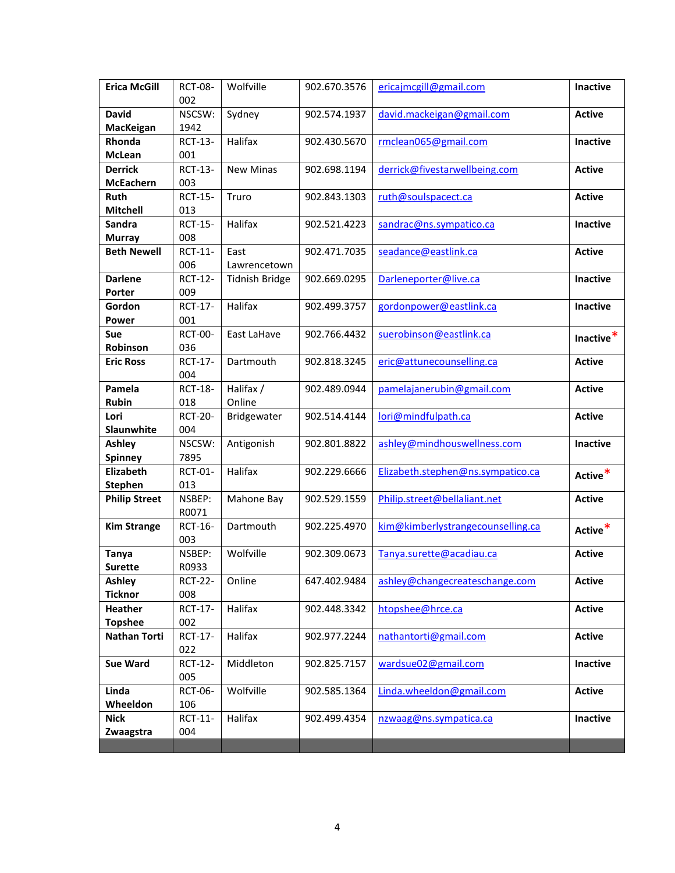| <b>Erica McGill</b>  | <b>RCT-08-</b> | Wolfville             | 902.670.3576 | ericajmcgill@gmail.com            | Inactive        |
|----------------------|----------------|-----------------------|--------------|-----------------------------------|-----------------|
|                      | 002            |                       |              |                                   |                 |
| <b>David</b>         | NSCSW:         | Sydney                | 902.574.1937 | david.mackeigan@gmail.com         | <b>Active</b>   |
| MacKeigan            | 1942           |                       |              |                                   |                 |
| Rhonda               | <b>RCT-13-</b> | Halifax               | 902.430.5670 | rmclean065@gmail.com              | <b>Inactive</b> |
| <b>McLean</b>        | 001            |                       |              |                                   |                 |
| <b>Derrick</b>       | <b>RCT-13-</b> | <b>New Minas</b>      | 902.698.1194 | derrick@fivestarwellbeing.com     | <b>Active</b>   |
| <b>McEachern</b>     | 003            |                       |              |                                   |                 |
| Ruth                 | <b>RCT-15-</b> | Truro                 | 902.843.1303 | ruth@soulspacect.ca               | <b>Active</b>   |
| <b>Mitchell</b>      | 013            |                       |              |                                   |                 |
| Sandra               | <b>RCT-15-</b> | Halifax               | 902.521.4223 | sandrac@ns.sympatico.ca           | <b>Inactive</b> |
| <b>Murray</b>        | 008            |                       |              |                                   |                 |
| <b>Beth Newell</b>   | RCT-11-        | East                  | 902.471.7035 | seadance@eastlink.ca              | <b>Active</b>   |
|                      | 006            | Lawrencetown          |              |                                   |                 |
| <b>Darlene</b>       | <b>RCT-12-</b> | <b>Tidnish Bridge</b> | 902.669.0295 | Darleneporter@live.ca             | Inactive        |
| Porter               | 009            |                       |              |                                   |                 |
| Gordon               | <b>RCT-17-</b> | Halifax               | 902.499.3757 | gordonpower@eastlink.ca           | Inactive        |
| <b>Power</b>         | 001            |                       |              |                                   |                 |
| <b>Sue</b>           | <b>RCT-00-</b> | East LaHave           | 902.766.4432 | suerobinson@eastlink.ca           | Inactive*       |
| Robinson             | 036            |                       |              |                                   |                 |
| <b>Eric Ross</b>     | <b>RCT-17-</b> | Dartmouth             | 902.818.3245 | eric@attunecounselling.ca         | <b>Active</b>   |
|                      | 004            |                       |              |                                   |                 |
| Pamela               | <b>RCT-18-</b> | Halifax /             | 902.489.0944 | pamelajanerubin@gmail.com         | <b>Active</b>   |
| <b>Rubin</b>         | 018            | Online                |              |                                   |                 |
| Lori                 | <b>RCT-20-</b> | Bridgewater           | 902.514.4144 | lori@mindfulpath.ca               | <b>Active</b>   |
| Slaunwhite           | 004            |                       |              |                                   |                 |
| <b>Ashley</b>        | NSCSW:         | Antigonish            | 902.801.8822 | ashley@mindhouswellness.com       | <b>Inactive</b> |
| <b>Spinney</b>       | 7895           |                       |              |                                   |                 |
| Elizabeth            | RCT-01-        | Halifax               | 902.229.6666 | Elizabeth.stephen@ns.sympatico.ca | Active*         |
| <b>Stephen</b>       | 013            |                       |              |                                   |                 |
| <b>Philip Street</b> | NSBEP:         | Mahone Bay            | 902.529.1559 | Philip.street@bellaliant.net      | <b>Active</b>   |
|                      | R0071          |                       |              |                                   |                 |
| <b>Kim Strange</b>   | <b>RCT-16-</b> | Dartmouth             | 902.225.4970 | kim@kimberlystrangecounselling.ca | Active*         |
|                      | 003            |                       |              |                                   |                 |
| Tanya                | NSBEP:         | Wolfville             | 902.309.0673 | Tanya.surette@acadiau.ca          | <b>Active</b>   |
| <b>Surette</b>       | R0933          |                       |              |                                   |                 |
| Ashley               | <b>RCT-22-</b> | Online                | 647.402.9484 | ashley@changecreateschange.com    | <b>Active</b>   |
| <b>Ticknor</b>       | 008            |                       |              |                                   |                 |
| <b>Heather</b>       | <b>RCT-17-</b> | Halifax               | 902.448.3342 | htopshee@hrce.ca                  | <b>Active</b>   |
| <b>Topshee</b>       | 002            |                       |              |                                   |                 |
| <b>Nathan Torti</b>  | <b>RCT-17-</b> | Halifax               | 902.977.2244 | nathantorti@gmail.com             | <b>Active</b>   |
|                      | 022            |                       |              |                                   |                 |
| Sue Ward             | <b>RCT-12-</b> | Middleton             | 902.825.7157 | wardsue02@gmail.com               | Inactive        |
|                      | 005            |                       |              |                                   |                 |
| Linda                | RCT-06-        | Wolfville             | 902.585.1364 | Linda.wheeldon@gmail.com          | <b>Active</b>   |
| Wheeldon             | 106            |                       |              |                                   |                 |
| <b>Nick</b>          | RCT-11-        | Halifax               | 902.499.4354 | nzwaag@ns.sympatica.ca            | <b>Inactive</b> |
| Zwaagstra            | 004            |                       |              |                                   |                 |
|                      |                |                       |              |                                   |                 |